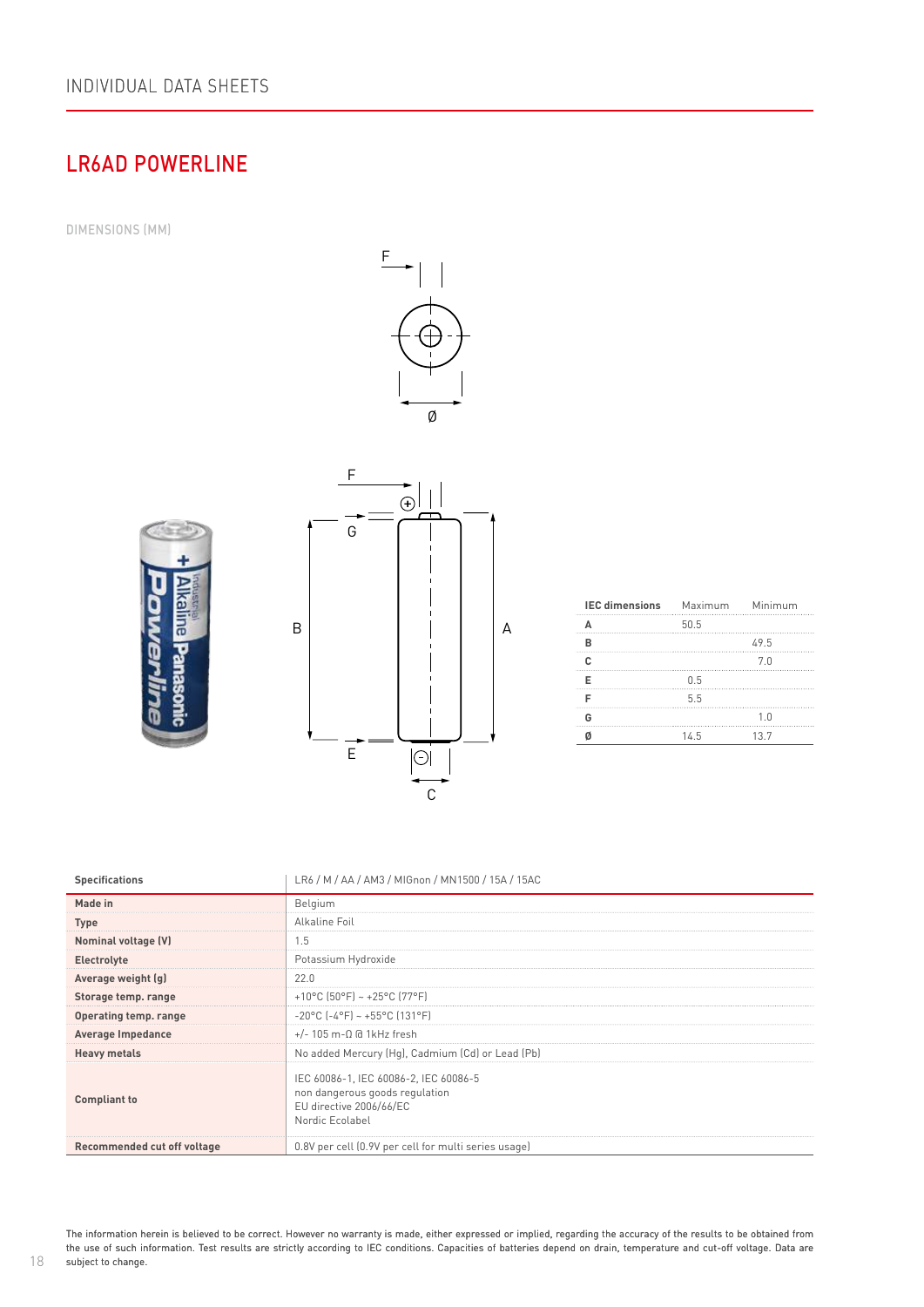## LR6AD POWERLINE

DIMENSIONS (MM)







| <b>IEC dimensions</b> Maximum Minimum |      |      |
|---------------------------------------|------|------|
|                                       | 50.5 |      |
|                                       |      | 49.5 |
|                                       |      | 7.0  |
|                                       | 0.5  |      |
|                                       | 5.5  |      |
|                                       |      | 1.0  |
|                                       | 14.5 | 13.7 |

| <b>Specifications</b>       | LR6 / M / AA / AM3 / MIGnon / MN1500 / 15A / 15AC                                                                     |
|-----------------------------|-----------------------------------------------------------------------------------------------------------------------|
| Made in                     | Belgium                                                                                                               |
| <b>Type</b>                 | Alkaline Foil                                                                                                         |
| Nominal voltage (V)         | 1.5                                                                                                                   |
| Electrolyte                 | Potassium Hydroxide                                                                                                   |
| Average weight (g)          | 22.0                                                                                                                  |
| Storage temp. range         | +10°C (50°F) ~ +25°C (77°F)                                                                                           |
| Operating temp. range       | $-20$ °C (-4°F) ~ +55°C (131°F)                                                                                       |
| Average Impedance           | $+/- 105$ m- $\Omega$ @ 1kHz fresh                                                                                    |
| <b>Heavy metals</b>         | No added Mercury (Hg), Cadmium (Cd) or Lead (Pb)                                                                      |
| <b>Compliant to</b>         | IEC 60086-1, IEC 60086-2, IEC 60086-5<br>non dangerous goods regulation<br>EU directive 2006/66/EC<br>Nordic Ecolabel |
| Recommended cut off voltage | 0.8V per cell (0.9V per cell for multi series usage)                                                                  |

The information herein is believed to be correct. However no warranty is made, either expressed or implied, regarding the accuracy of the results to be obtained from the use of such information. Test results are strictly according to IEC conditions. Capacities of batteries depend on drain, temperature and cut-off voltage. Data are subject to change.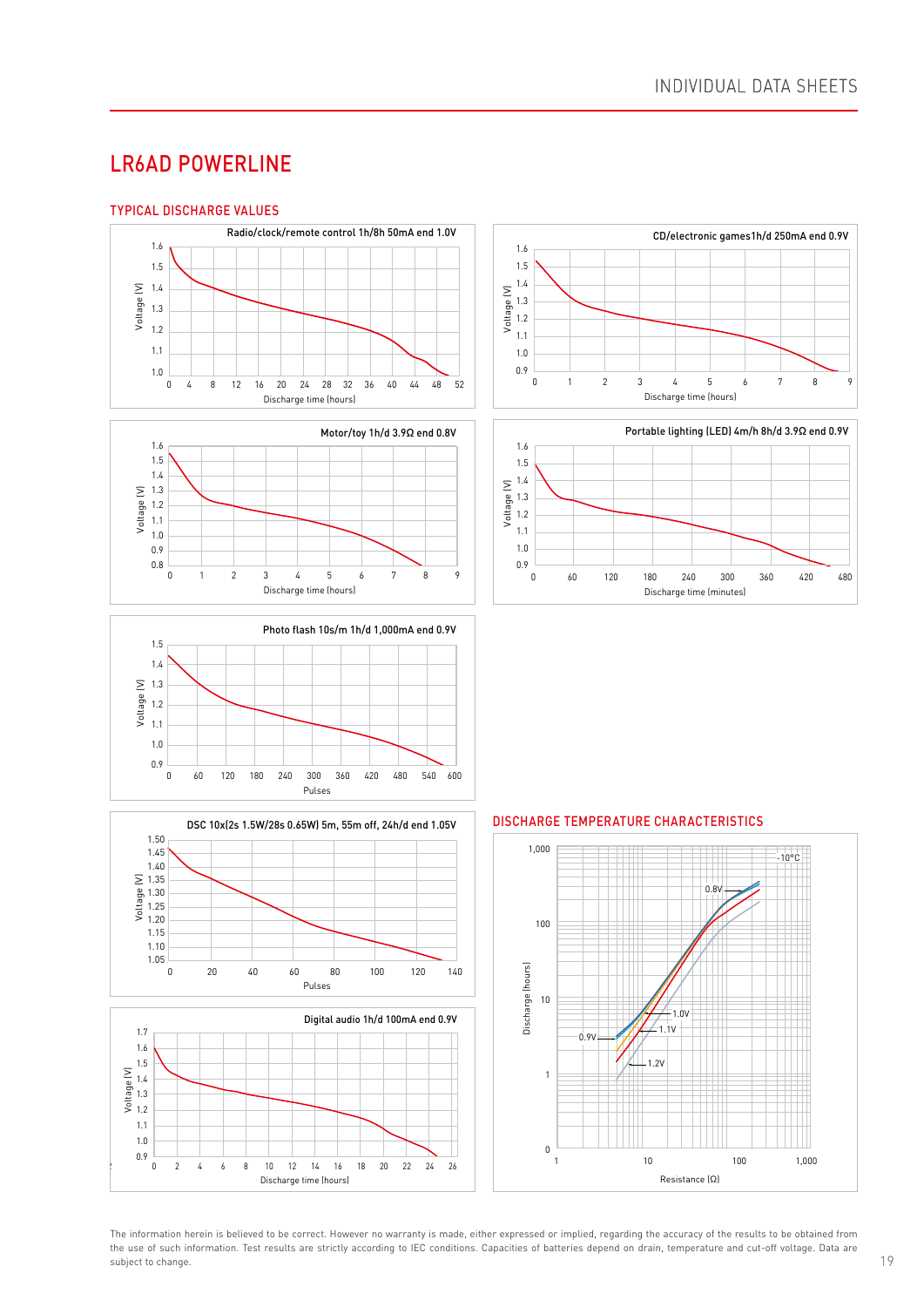### LR6AD POWERLINE

#### TYPICAL DISCHARGE VALUES



















The information herein is believed to be correct. However no warranty is made, either expressed or implied, regarding the accuracy of the results to be obtained from the use of such information. Test results are strictly according to IEC conditions. Capacities of batteries depend on drain, temperature and cut-off voltage. Data are subject to change.